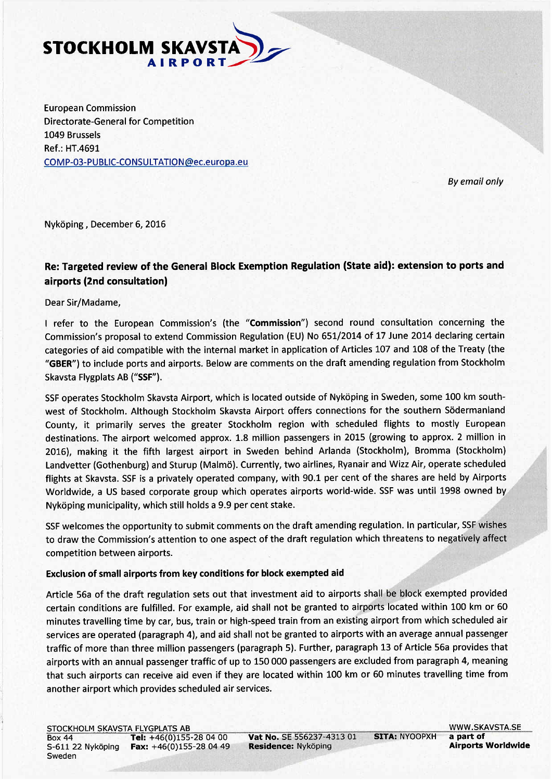

European Commission Directorate-General for Competition 1049 Brussels Ref.: HT.4691 COMP-03-PUBLIC-CONSULTATION@ec.europa.eu

By email only

.."

.. "

"

m '-

'" ..

....

<sup>~</sup> .. ~..

..

Nyköping, December 6, 2016

## Re: Targeted review of the General Block Exemption Regulation (State aid): extension to ports and airports (2nd consultation)

Dear Sir/Madame,

I refer to the European Commission's (the "Commission") second round consultation concerning the Commission's proposal to extend Commission Regulation (EU) No 651/2014 of 17 June 2014 declaring certain categories of aid compatible with the internal market in application of Articles 107 and 108 of the Treaty (the "GBER") to include ports and airports. Below are comments on the draft amending regulation from Stockholm Skavsta Flygplats AB ("SSF").

SSF operates Stockholm Skavsta Airport, which is located outside of Nyköping in Sweden, some 100 km southwest of Stockholm. Although Stockholm Skavsta Airport offers connections for the southern Södermanland County, it primarily serves the greater Stockholm region with scheduled flights to mostly European destinations. The airport welcomed approx. 1.8 million passengers in 2015 (growing to approx. 2 million in 2016), making it the fifth largest airport in Sweden behind Arlanda (Stockholm), Bromma (Stockholm) 1 Landvetter (Gothenburg) and Sturup (Malmö). Currently, two airlines, Ryanair and Wizz Air, operate sCheduled/ flights at Skavsta. SSF is a privately operated company, with 90.1 per cent of the shares are held by Airports Worldwide, a US based corporate group which operates airports world-wide. SSF was until 1998 owned by<br>Nyköping municipality, which still holds a 9.9 per cent stake.

SSF welcomes the opportunity to submit comments on the draft amending regulation. In particular, SSF wishes to draw the Commission's attention to one aspect of the draft regulation which threatens to negatively affect<br>competition between airports.

## Exclusion of small airports from key conditions for block exempted aid

 $\sim$  ...

Article 56a of the draft regulation sets out that investment aid to airports shall be block exempted provided certain conditions are fulfilled. For example, aid shall not be granted to airports located within 100 km or 60 minutes travellng time by car, bus, train or high-speed train from an existing airport from which scheduled air services are operated (paragraph 4), and aid shall not be granted to airports with an average annual passenger traffic of more than three millon passengers (paragraph 5). Further, paragraph 13 of Article 56a provides that airports with an annual passenger traffic of up to 150000 passengers are excluded from paragraph 4, meaning that such airports can receive aid even if they are located within 100 km or 60 minutes travellng time from another airport which provides scheduled air services.

Vat No. SE 556237-4313 01 SITA: NYOOPXH a part of<br>Residence: Nyköping **SITA: NYOOPXH** a part of Residence: Nyköping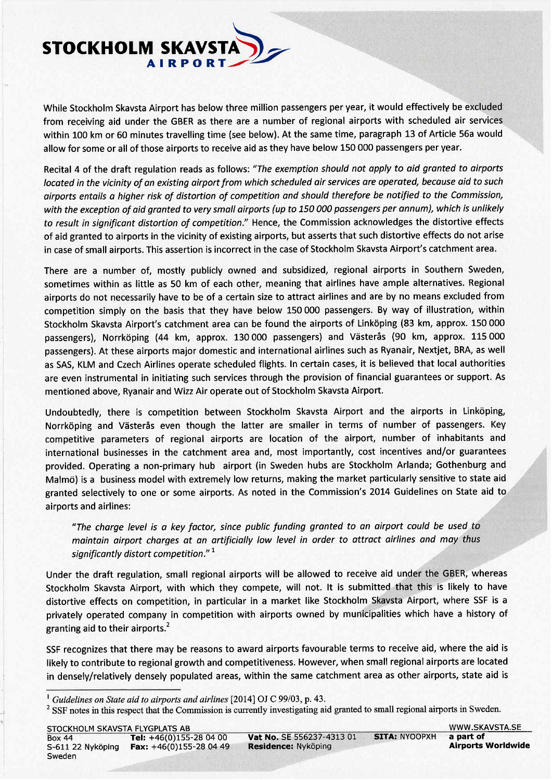

While Stockholm Skavsta Airport has below three millon passengers per year, it would effectively be excludëeJ' .. from receiving aid under the GBER as there are a number of regional airports with scheduled air services within 100 km or 60 minutes travelling time (see below). At the same time, paragraph 13 of Article 56a would allow for some or all of those airports to receive aid as they have below 150 000 passengers per year.

.. ..

"'..

~ ....

...~..

~..

Recital 4 of the draft regulation reads as follows: "The exemption should not apply to aid granted to airports located in the vicinity of an existing airport from which scheduled air services are operated, because aid to such airports entails a higher risk of distortion of competition and should therefore be notified to the Commission, with the exception of aid granted to very small airports (up to 150000 passengers per annum), which is unlikely to result in significant distortion of competition." Hence, the Commission acknowledges the distortive effects of aid granted to airports in the vicinity of existing airports, but asserts that such distortive effects do not arise in case of small airports. This assertion is incorrect in the case of Stockholm Skavsta Airport's catchment area.

There are a number of, mostly publicly owned and subsidized, regional airports in Southern Sweden, sometimes within as little as 50 km of each other, meaning that airlines have ample alternatives. Regional airports do not necessarily have to be of a certain size to attract airlines and are by no means excluded from competition simply on the basis that they have below 150000 passengers. By way of ilustration, within Stockholm Skavsta Airport's catchment area can be found the airports of Linköping (83 km, approx. 150000 passengers), Norrköping (44 km, approx. 130 000 passengers) and Västerås (90 km, approx. 115 000 passengers). At these airports major domestic and international airlines such as Ryanair, Nextjet, BRA, as well as SAS, KLM and Czech Airlines operate scheduled flights. In certain cases, it is believed that local authorities are even instrumental in initiating such services through the provision of financial guarantees or support. As mentioned above, Ryanair and Wizz Air operate out of Stockholm Skavsta Airport.

Undoubtedly, there is competition between Stockholm Skavsta Airport and the airports in Linköping, Norrköping and Vasterås even though the latter are smaller in terms of number of passengers. Key competitive parameters of regional airports are location of the airport, number of inhabitants and international businesses in the catchment area and, most importantly, cost incentives and/or guarantees provided. Operating a non-primary hub airport (in Sweden hubs are Stockholm Arlanda; Gothenburg and Malmö) is a business model with extremely low returns, making the market particularly sensitive to state aid. granted selectively to one or some airports. As noted in the Commission's 2014 Guidelines on State aid to airports and airlines:

"The charge level is a key factor, since public funding granted to an airport could be used to maintain airport charges at an artificially low level in order to attract airlines and may thus maintain airport charges at an artificially low level in order to ditract diffiles and may thus<br>significantly distort competition." <sup>1</sup><br>the draft regulation, small regional airports will be allowed to receive aid under the

significantly alstort competition.<br>Under the draft regulation, small regional airports will be allowed to receive aid under the GBER, whereas<br>Stockholm Skaysta Airport, with which they compete, will not. It is submitted th Stockholm Skavsta Airport, with which they compete, will not. It is submitted that this is likely to have distortive effects on competition, in particular in a market like Stockholm Skavsta Airport, where SSF is a privately operated company in competition with airports owned by municipalities which have a history of granting aid to their airports. $<sup>2</sup>$ </sup>

SSF recognizes that there may be reasons to award airports favourable terms to receive aid, where the aid is likely to contribute to regional growth and competitiveness. However, when small regional airports are located in densely/relatively densely populated areas, within the same catchment area as other airports, state aid is

<sup>&</sup>lt;sup>1</sup> Guidelines on State aid to airports and airlines [2014] OJ C 99/03, p. 43.

<sup>&</sup>lt;sup>2</sup> SSF notes in this respect that the Commission is currently investigating aid granted to small regional airports in Sweden.